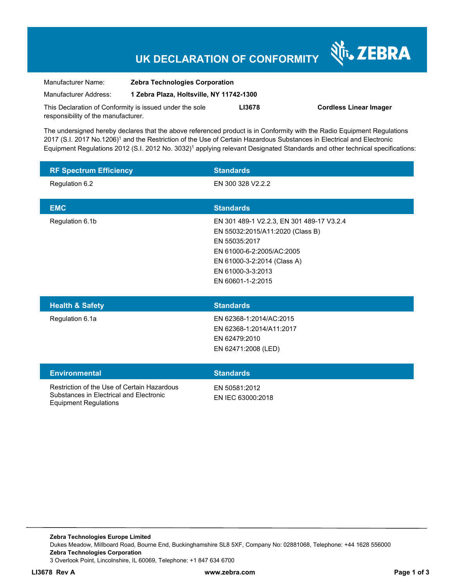## **UK DECLARATION OF CONFORMITY**

Nr. ZEBRA

| Manufacturer Name:                                      | <b>Zebra Technologies Corporation</b>    |        |                               |
|---------------------------------------------------------|------------------------------------------|--------|-------------------------------|
| Manufacturer Address:                                   | 1 Zebra Plaza, Holtsville, NY 11742-1300 |        |                               |
| This Declaration of Conformity is issued under the sole |                                          | LI3678 | <b>Cordless Linear Imager</b> |
| responsibility of the manufacturer.                     |                                          |        |                               |

The undersigned hereby declares that the above referenced product is in Conformity with the Radio Equipment Regulations 2017 (S.I. 2017 No.1206)<sup>1</sup> and the Restriction of the Use of Certain Hazardous Substances in Electrical and Electronic Equipment Regulations 2012 (S.I. 2012 No. 3032)<sup>1</sup> applying relevant Designated Standards and other technical specifications:

| <b>RF Spectrum Efficiency</b>                                                                                          | <b>Standards</b>                                                                                                                                                                                     |  |
|------------------------------------------------------------------------------------------------------------------------|------------------------------------------------------------------------------------------------------------------------------------------------------------------------------------------------------|--|
| Regulation 6.2                                                                                                         | EN 300 328 V2.2.2                                                                                                                                                                                    |  |
| <b>EMC</b>                                                                                                             | <b>Standards</b>                                                                                                                                                                                     |  |
| Regulation 6.1b                                                                                                        | EN 301 489-1 V2.2.3, EN 301 489-17 V3.2.4<br>EN 55032:2015/A11:2020 (Class B)<br>EN 55035:2017<br>EN 61000-6-2:2005/AC:2005<br>EN 61000-3-2:2014 (Class A)<br>EN 61000-3-3:2013<br>EN 60601-1-2:2015 |  |
| <b>Health &amp; Safety</b>                                                                                             | <b>Standards</b>                                                                                                                                                                                     |  |
| Regulation 6.1a                                                                                                        | EN 62368-1:2014/AC:2015<br>EN 62368-1:2014/A11:2017<br>EN 62479:2010<br>EN 62471:2008 (LED)                                                                                                          |  |
| <b>Environmental</b>                                                                                                   | <b>Standards</b>                                                                                                                                                                                     |  |
| Restriction of the Use of Certain Hazardous<br>Substances in Electrical and Electronic<br><b>Equipment Regulations</b> | EN 50581:2012<br>EN IEC 63000:2018                                                                                                                                                                   |  |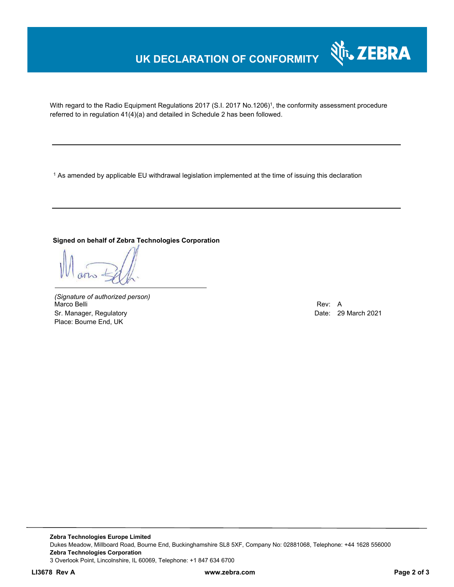## **UK DECLARATION OF CONFORMITY**



With regard to the Radio Equipment Regulations 2017 (S.I. 2017 No.1206)<sup>1</sup>, the conformity assessment procedure referred to in regulation 41(4)(a) and detailed in Schedule 2 has been followed.

 $^{\rm 1}$  As amended by applicable EU withdrawal legislation implemented at the time of issuing this declaration

### **Signed on behalf of Zebra Technologies Corporation**

*(Signature of authorized person)* Marco Belli Rev: A Sr. Manager, Regulatory **Date: 29 March 2021** Place: Bourne End, UK

**Zebra Technologies Europe Limited**  Dukes Meadow, Millboard Road, Bourne End, Buckinghamshire SL8 5XF, Company No: 02881068, Telephone: +44 1628 556000 **Zebra Technologies Corporation**  3 Overlook Point, Lincolnshire, IL 60069, Telephone: +1 847 634 6700